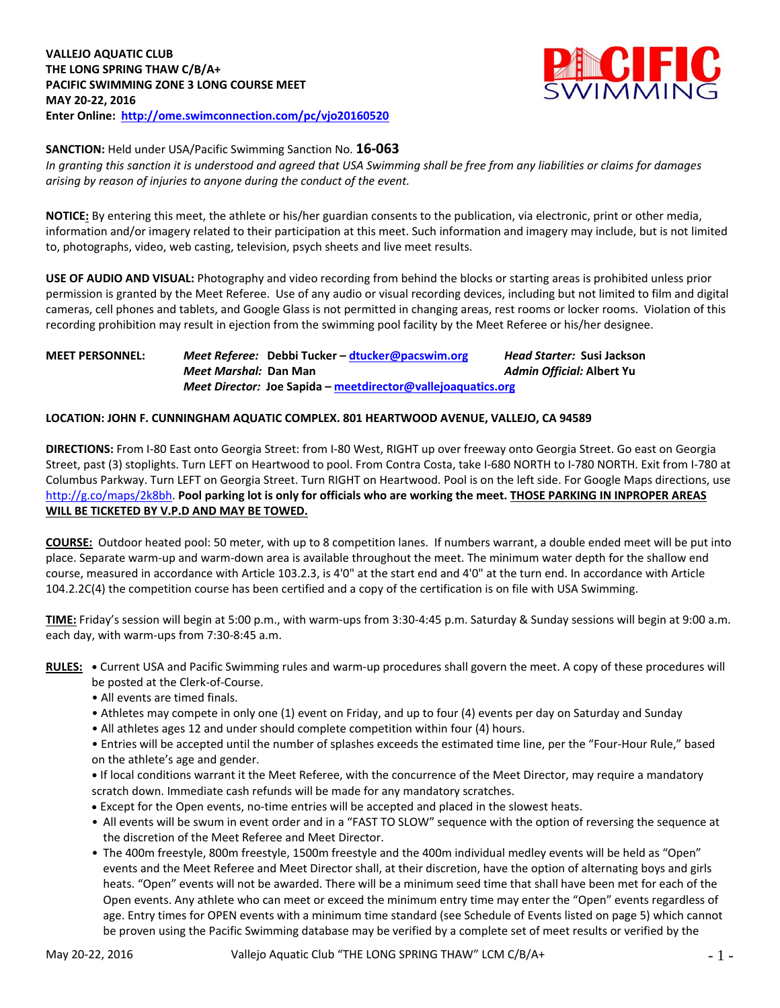

**SANCTION:** Held under USA/Pacific Swimming Sanction No. **16-063**

*In granting this sanction it is understood and agreed that USA Swimming shall be free from any liabilities or claims for damages arising by reason of injuries to anyone during the conduct of the event.*

**NOTICE:** By entering this meet, the athlete or his/her guardian consents to the publication, via electronic, print or other media, information and/or imagery related to their participation at this meet. Such information and imagery may include, but is not limited to, photographs, video, web casting, television, psych sheets and live meet results.

**USE OF AUDIO AND VISUAL:** Photography and video recording from behind the blocks or starting areas is prohibited unless prior permission is granted by the Meet Referee. Use of any audio or visual recording devices, including but not limited to film and digital cameras, cell phones and tablets, and Google Glass is not permitted in changing areas, rest rooms or locker rooms. Violation of this recording prohibition may result in ejection from the swimming pool facility by the Meet Referee or his/her designee.

**MEET PERSONNEL:** *Meet Referee:* **Debbi Tucker – [dtucker@pacswim.org](mailto:dtucker@pacswim.org)** *Head Starter:* **Susi Jackson** *Meet Marshal:* **Dan Man** *Admin Official:* **Albert Yu** *Meet Director:* **Joe Sapida – [meetdirector@vallejoaquatics.org](mailto:meetdirector@vallejoaquatics.org)**

## **LOCATION: JOHN F. CUNNINGHAM AQUATIC COMPLEX. 801 HEARTWOOD AVENUE, VALLEJO, CA 94589**

**DIRECTIONS:** From I-80 East onto Georgia Street: from I-80 West, RIGHT up over freeway onto Georgia Street. Go east on Georgia Street, past (3) stoplights. Turn LEFT on Heartwood to pool. From Contra Costa, take I-680 NORTH to I-780 NORTH. Exit from I-780 at Columbus Parkway. Turn LEFT on Georgia Street. Turn RIGHT on Heartwood. Pool is on the left side. For Google Maps directions, use [http://g.co/maps/2k8bh.](http://g.co/maps/2k8bh) **Pool parking lot is only for officials who are working the meet. THOSE PARKING IN INPROPER AREAS WILL BE TICKETED BY V.P.D AND MAY BE TOWED.** 

**COURSE:** Outdoor heated pool: 50 meter, with up to 8 competition lanes. If numbers warrant, a double ended meet will be put into place. Separate warm-up and warm-down area is available throughout the meet. The minimum water depth for the shallow end course, measured in accordance with Article 103.2.3, is 4'0" at the start end and 4'0" at the turn end. In accordance with Article 104.2.2C(4) the competition course has been certified and a copy of the certification is on file with USA Swimming.

**TIME:** Friday's session will begin at 5:00 p.m., with warm-ups from 3:30-4:45 p.m. Saturday & Sunday sessions will begin at 9:00 a.m. each day, with warm-ups from 7:30-8:45 a.m.

**RULES: •** Current USA and Pacific Swimming rules and warm-up procedures shall govern the meet. A copy of these procedures will be posted at the Clerk-of-Course.

- All events are timed finals.
- Athletes may compete in only one (1) event on Friday, and up to four (4) events per day on Saturday and Sunday
- All athletes ages 12 and under should complete competition within four (4) hours.

• Entries will be accepted until the number of splashes exceeds the estimated time line, per the "Four-Hour Rule," based on the athlete's age and gender.

**•** If local conditions warrant it the Meet Referee, with the concurrence of the Meet Director, may require a mandatory scratch down. Immediate cash refunds will be made for any mandatory scratches.

- Except for the Open events, no-time entries will be accepted and placed in the slowest heats.
- All events will be swum in event order and in a "FAST TO SLOW" sequence with the option of reversing the sequence at the discretion of the Meet Referee and Meet Director.
- The 400m freestyle, 800m freestyle, 1500m freestyle and the 400m individual medley events will be held as "Open" events and the Meet Referee and Meet Director shall, at their discretion, have the option of alternating boys and girls heats. "Open" events will not be awarded. There will be a minimum seed time that shall have been met for each of the Open events. Any athlete who can meet or exceed the minimum entry time may enter the "Open" events regardless of age. Entry times for OPEN events with a minimum time standard (see Schedule of Events listed on page 5) which cannot be proven using the Pacific Swimming database may be verified by a complete set of meet results or verified by the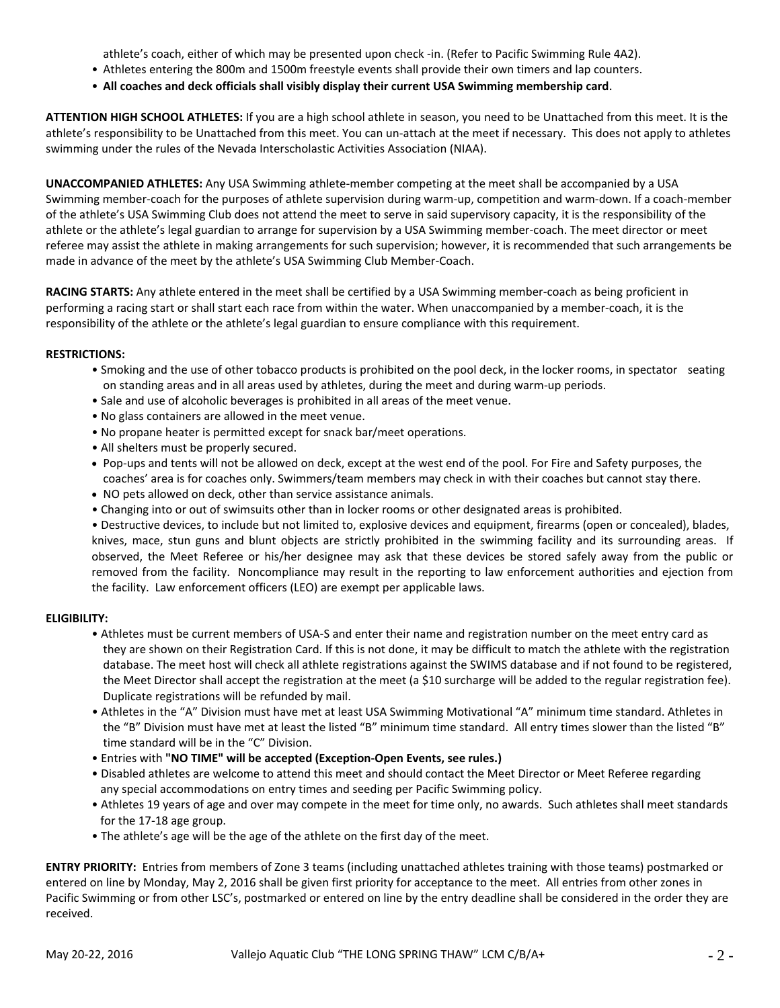athlete's coach, either of which may be presented upon check -in. (Refer to Pacific Swimming Rule 4A2).

- Athletes entering the 800m and 1500m freestyle events shall provide their own timers and lap counters.
- **All coaches and deck officials shall visibly display their current USA Swimming membership card**.

**ATTENTION HIGH SCHOOL ATHLETES:** If you are a high school athlete in season, you need to be Unattached from this meet. It is the athlete's responsibility to be Unattached from this meet. You can un-attach at the meet if necessary. This does not apply to athletes swimming under the rules of the Nevada Interscholastic Activities Association (NIAA).

**UNACCOMPANIED ATHLETES:** Any USA Swimming athlete-member competing at the meet shall be accompanied by a USA Swimming member-coach for the purposes of athlete supervision during warm-up, competition and warm-down. If a coach-member of the athlete's USA Swimming Club does not attend the meet to serve in said supervisory capacity, it is the responsibility of the athlete or the athlete's legal guardian to arrange for supervision by a USA Swimming member-coach. The meet director or meet referee may assist the athlete in making arrangements for such supervision; however, it is recommended that such arrangements be made in advance of the meet by the athlete's USA Swimming Club Member-Coach.

**RACING STARTS:** Any athlete entered in the meet shall be certified by a USA Swimming member-coach as being proficient in performing a racing start or shall start each race from within the water. When unaccompanied by a member-coach, it is the responsibility of the athlete or the athlete's legal guardian to ensure compliance with this requirement.

#### **RESTRICTIONS:**

- Smoking and the use of other tobacco products is prohibited on the pool deck, in the locker rooms, in spectator seating on standing areas and in all areas used by athletes, during the meet and during warm-up periods.
- Sale and use of alcoholic beverages is prohibited in all areas of the meet venue.
- No glass containers are allowed in the meet venue.
- No propane heater is permitted except for snack bar/meet operations.
- All shelters must be properly secured.
- Pop-ups and tents will not be allowed on deck, except at the west end of the pool. For Fire and Safety purposes, the coaches' area is for coaches only. Swimmers/team members may check in with their coaches but cannot stay there.
- NO pets allowed on deck, other than service assistance animals.
- Changing into or out of swimsuits other than in locker rooms or other designated areas is prohibited.

• Destructive devices, to include but not limited to, explosive devices and equipment, firearms (open or concealed), blades, knives, mace, stun guns and blunt objects are strictly prohibited in the swimming facility and its surrounding areas. If observed, the Meet Referee or his/her designee may ask that these devices be stored safely away from the public or removed from the facility. Noncompliance may result in the reporting to law enforcement authorities and ejection from the facility. Law enforcement officers (LEO) are exempt per applicable laws.

## **ELIGIBILITY:**

- Athletes must be current members of USA-S and enter their name and registration number on the meet entry card as they are shown on their Registration Card. If this is not done, it may be difficult to match the athlete with the registration database. The meet host will check all athlete registrations against the SWIMS database and if not found to be registered, the Meet Director shall accept the registration at the meet (a \$10 surcharge will be added to the regular registration fee). Duplicate registrations will be refunded by mail.
- Athletes in the "A" Division must have met at least USA Swimming Motivational "A" minimum time standard. Athletes in the "B" Division must have met at least the listed "B" minimum time standard. All entry times slower than the listed "B" time standard will be in the "C" Division.
- Entries with **"NO TIME" will be accepted (Exception-Open Events, see rules.)**
- Disabled athletes are welcome to attend this meet and should contact the Meet Director or Meet Referee regarding any special accommodations on entry times and seeding per Pacific Swimming policy.
- Athletes 19 years of age and over may compete in the meet for time only, no awards. Such athletes shall meet standards for the 17-18 age group.
- The athlete's age will be the age of the athlete on the first day of the meet.

**ENTRY PRIORITY:** Entries from members of Zone 3 teams (including unattached athletes training with those teams) postmarked or entered on line by Monday, May 2, 2016 shall be given first priority for acceptance to the meet. All entries from other zones in Pacific Swimming or from other LSC's, postmarked or entered on line by the entry deadline shall be considered in the order they are received.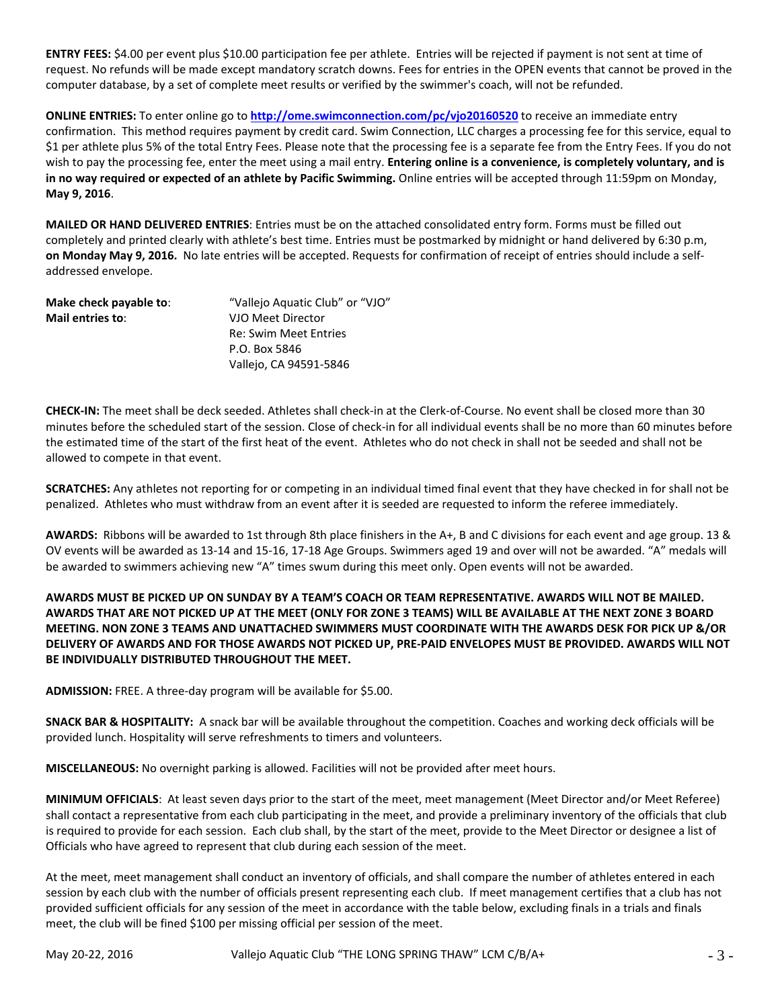**ENTRY FEES:** \$4.00 per event plus \$10.00 participation fee per athlete. Entries will be rejected if payment is not sent at time of request. No refunds will be made except mandatory scratch downs. Fees for entries in the OPEN events that cannot be proved in the computer database, by a set of complete meet results or verified by the swimmer's coach, will not be refunded.

**ONLINE ENTRIES:** To enter online go to **<http://ome.swimconnection.com/pc/vjo20160520>** to receive an immediate entry confirmation. This method requires payment by credit card. Swim Connection, LLC charges a processing fee for this service, equal to \$1 per athlete plus 5% of the total Entry Fees. Please note that the processing fee is a separate fee from the Entry Fees. If you do not wish to pay the processing fee, enter the meet using a mail entry. **Entering online is a convenience, is completely voluntary, and is in no way required or expected of an athlete by Pacific Swimming.** Online entries will be accepted through 11:59pm on Monday, **May 9, 2016**.

**MAILED OR HAND DELIVERED ENTRIES**: Entries must be on the attached consolidated entry form. Forms must be filled out completely and printed clearly with athlete's best time. Entries must be postmarked by midnight or hand delivered by 6:30 p.m, **on Monday May 9, 2016.** No late entries will be accepted. Requests for confirmation of receipt of entries should include a selfaddressed envelope.

| Make check payable to: | "Vallejo Aquatic Club" or "VJO" |
|------------------------|---------------------------------|
| Mail entries to:       | VJO Meet Director               |
|                        | <b>Re: Swim Meet Entries</b>    |
|                        | P.O. Box 5846                   |
|                        | Vallejo, CA 94591-5846          |

**CHECK-IN:** The meet shall be deck seeded. Athletes shall check-in at the Clerk-of-Course. No event shall be closed more than 30 minutes before the scheduled start of the session. Close of check-in for all individual events shall be no more than 60 minutes before the estimated time of the start of the first heat of the event. Athletes who do not check in shall not be seeded and shall not be allowed to compete in that event.

**SCRATCHES:** Any athletes not reporting for or competing in an individual timed final event that they have checked in for shall not be penalized. Athletes who must withdraw from an event after it is seeded are requested to inform the referee immediately.

**AWARDS:** Ribbons will be awarded to 1st through 8th place finishers in the A+, B and C divisions for each event and age group. 13 & OV events will be awarded as 13-14 and 15-16, 17-18 Age Groups. Swimmers aged 19 and over will not be awarded. "A" medals will be awarded to swimmers achieving new "A" times swum during this meet only. Open events will not be awarded.

# **AWARDS MUST BE PICKED UP ON SUNDAY BY A TEAM'S COACH OR TEAM REPRESENTATIVE. AWARDS WILL NOT BE MAILED. AWARDS THAT ARE NOT PICKED UP AT THE MEET (ONLY FOR ZONE 3 TEAMS) WILL BE AVAILABLE AT THE NEXT ZONE 3 BOARD MEETING. NON ZONE 3 TEAMS AND UNATTACHED SWIMMERS MUST COORDINATE WITH THE AWARDS DESK FOR PICK UP &/OR DELIVERY OF AWARDS AND FOR THOSE AWARDS NOT PICKED UP, PRE-PAID ENVELOPES MUST BE PROVIDED. AWARDS WILL NOT BE INDIVIDUALLY DISTRIBUTED THROUGHOUT THE MEET.**

**ADMISSION:** FREE. A three-day program will be available for \$5.00.

**SNACK BAR & HOSPITALITY:** A snack bar will be available throughout the competition. Coaches and working deck officials will be provided lunch. Hospitality will serve refreshments to timers and volunteers.

**MISCELLANEOUS:** No overnight parking is allowed. Facilities will not be provided after meet hours.

**MINIMUM OFFICIALS**: At least seven days prior to the start of the meet, meet management (Meet Director and/or Meet Referee) shall contact a representative from each club participating in the meet, and provide a preliminary inventory of the officials that club is required to provide for each session. Each club shall, by the start of the meet, provide to the Meet Director or designee a list of Officials who have agreed to represent that club during each session of the meet.

At the meet, meet management shall conduct an inventory of officials, and shall compare the number of athletes entered in each session by each club with the number of officials present representing each club. If meet management certifies that a club has not provided sufficient officials for any session of the meet in accordance with the table below, excluding finals in a trials and finals meet, the club will be fined \$100 per missing official per session of the meet.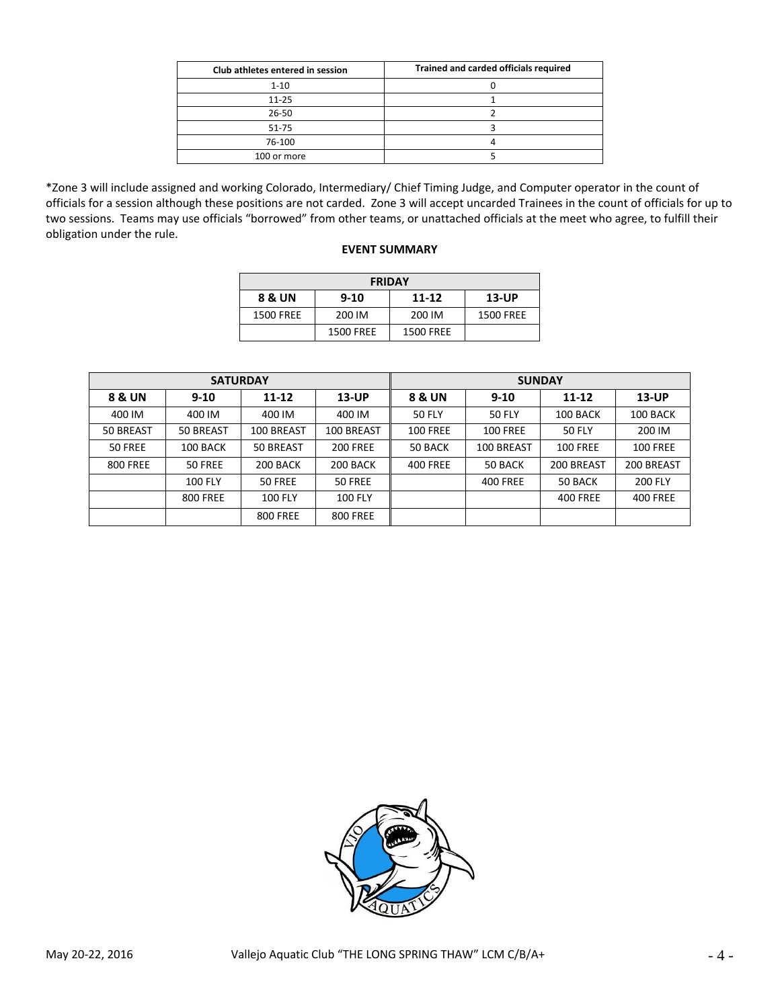| Club athletes entered in session | Trained and carded officials required |
|----------------------------------|---------------------------------------|
| $1 - 10$                         |                                       |
| $11 - 25$                        |                                       |
| 26-50                            |                                       |
| $51 - 75$                        |                                       |
| 76-100                           |                                       |
| 100 or more                      |                                       |

\*Zone 3 will include assigned and working Colorado, Intermediary/ Chief Timing Judge, and Computer operator in the count of officials for a session although these positions are not carded. Zone 3 will accept uncarded Trainees in the count of officials for up to two sessions. Teams may use officials "borrowed" from other teams, or unattached officials at the meet who agree, to fulfill their obligation under the rule.

#### **EVENT SUMMARY**

| <b>FRIDAY</b>    |                  |                  |                  |  |  |  |  |  |  |
|------------------|------------------|------------------|------------------|--|--|--|--|--|--|
| 8 & UN           | $9 - 10$         | $11 - 12$        | $13$ -UP         |  |  |  |  |  |  |
| <b>1500 FREE</b> | 200 IM           | 200 IM           | <b>1500 FREE</b> |  |  |  |  |  |  |
|                  | <b>1500 FREE</b> | <b>1500 FREE</b> |                  |  |  |  |  |  |  |

|                 | <b>SATURDAY</b> |                 |                 | <b>SUNDAY</b>   |                 |                 |                 |  |  |  |
|-----------------|-----------------|-----------------|-----------------|-----------------|-----------------|-----------------|-----------------|--|--|--|
| 8 & UN          | $9 - 10$        | $11 - 12$       | $13$ -UP        | 8 & UN          | $9 - 10$        | $11 - 12$       | <b>13-UP</b>    |  |  |  |
| 400 IM          | 400 IM          | 400 IM          | 400 IM          | <b>50 FLY</b>   | <b>50 FLY</b>   | 100 BACK        | 100 BACK        |  |  |  |
| 50 BREAST       | 50 BREAST       | 100 BREAST      | 100 BREAST      | <b>100 FREE</b> | <b>100 FREE</b> | 50 FLY          | 200 IM          |  |  |  |
| 50 FREE         | 100 BACK        | 50 BREAST       | <b>200 FREE</b> | 50 BACK         | 100 BREAST      | <b>100 FREE</b> | <b>100 FREE</b> |  |  |  |
| <b>800 FREE</b> | 50 FREE         | 200 BACK        | 200 BACK        | <b>400 FREE</b> | 50 BACK         | 200 BREAST      | 200 BREAST      |  |  |  |
|                 | <b>100 FLY</b>  | 50 FREE         | 50 FREE         |                 | <b>400 FREE</b> | 50 BACK         | <b>200 FLY</b>  |  |  |  |
|                 | <b>800 FREE</b> | <b>100 FLY</b>  | <b>100 FLY</b>  |                 |                 | <b>400 FREE</b> | <b>400 FREE</b> |  |  |  |
|                 |                 | <b>800 FREE</b> | <b>800 FREE</b> |                 |                 |                 |                 |  |  |  |

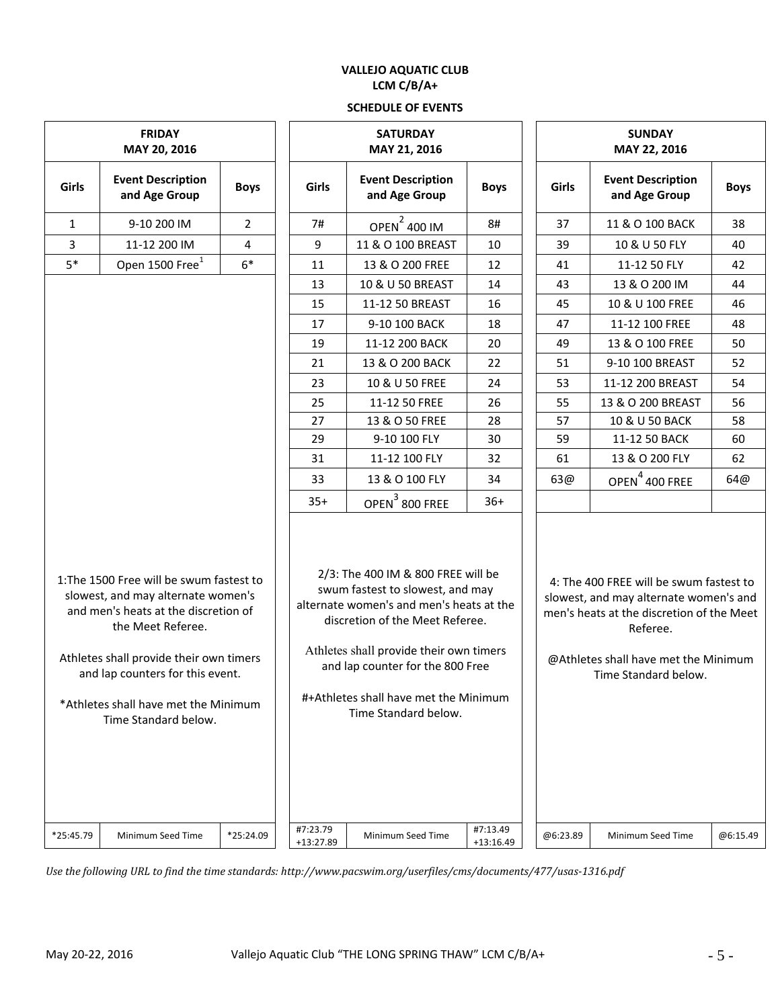# **VALLEJO AQUATIC CLUB LCM C/B/A+**

# **SCHEDULE OF EVENTS**

|                               |                                                                                                                                                                                                                                                                                            |                |                           | JLNEDULE UF EVENTJ                                                                                                                                                                                                                                                                                    |                         |                               |                                                                                                                                                                                                            |             |  |  |
|-------------------------------|--------------------------------------------------------------------------------------------------------------------------------------------------------------------------------------------------------------------------------------------------------------------------------------------|----------------|---------------------------|-------------------------------------------------------------------------------------------------------------------------------------------------------------------------------------------------------------------------------------------------------------------------------------------------------|-------------------------|-------------------------------|------------------------------------------------------------------------------------------------------------------------------------------------------------------------------------------------------------|-------------|--|--|
| <b>FRIDAY</b><br>MAY 20, 2016 |                                                                                                                                                                                                                                                                                            |                |                           | <b>SATURDAY</b><br>MAY 21, 2016                                                                                                                                                                                                                                                                       |                         | <b>SUNDAY</b><br>MAY 22, 2016 |                                                                                                                                                                                                            |             |  |  |
| Girls                         | <b>Event Description</b><br>and Age Group                                                                                                                                                                                                                                                  | <b>Boys</b>    | Girls                     | <b>Event Description</b><br>and Age Group                                                                                                                                                                                                                                                             | <b>Boys</b>             | Girls                         | <b>Event Description</b><br>and Age Group                                                                                                                                                                  | <b>Boys</b> |  |  |
| $\mathbf{1}$                  | 9-10 200 IM                                                                                                                                                                                                                                                                                | $\overline{2}$ | 7#                        | OPEN <sup>2</sup> 400 IM                                                                                                                                                                                                                                                                              | 8#                      | 37                            | 11 & O 100 BACK                                                                                                                                                                                            | 38          |  |  |
| 3                             | 11-12 200 IM                                                                                                                                                                                                                                                                               | 4              | 9<br>11 & O 100 BREAST    |                                                                                                                                                                                                                                                                                                       | 10                      | 39                            | 10 & U 50 FLY                                                                                                                                                                                              | 40          |  |  |
| $5*$                          | Open 1500 Free <sup>1</sup>                                                                                                                                                                                                                                                                | $6*$           | 11                        | 13 & O 200 FREE                                                                                                                                                                                                                                                                                       | 12                      | 41                            | 11-12 50 FLY                                                                                                                                                                                               | 42          |  |  |
|                               |                                                                                                                                                                                                                                                                                            |                | 13                        | 10 & U 50 BREAST                                                                                                                                                                                                                                                                                      | 14                      | 43                            | 13 & O 200 IM                                                                                                                                                                                              | 44          |  |  |
|                               |                                                                                                                                                                                                                                                                                            |                | 11-12 50 BREAST<br>15     |                                                                                                                                                                                                                                                                                                       | 16                      | 45                            | 10 & U 100 FREE                                                                                                                                                                                            |             |  |  |
|                               |                                                                                                                                                                                                                                                                                            |                | 9-10 100 BACK<br>17       |                                                                                                                                                                                                                                                                                                       | 18                      | 47                            | 11-12 100 FREE                                                                                                                                                                                             |             |  |  |
|                               |                                                                                                                                                                                                                                                                                            |                | 19                        | 11-12 200 BACK                                                                                                                                                                                                                                                                                        | 20                      | 49                            | 13 & O 100 FREE                                                                                                                                                                                            | 50          |  |  |
|                               |                                                                                                                                                                                                                                                                                            |                | 21                        | 13 & O 200 BACK                                                                                                                                                                                                                                                                                       | 22                      | 51                            | 9-10 100 BREAST                                                                                                                                                                                            | 52          |  |  |
|                               |                                                                                                                                                                                                                                                                                            |                | 23                        | 10 & U 50 FREE                                                                                                                                                                                                                                                                                        | 24                      | 53                            | 11-12 200 BREAST                                                                                                                                                                                           | 54          |  |  |
|                               |                                                                                                                                                                                                                                                                                            |                | 25                        | 11-12 50 FREE                                                                                                                                                                                                                                                                                         | 26                      | 55                            | 13 & O 200 BREAST                                                                                                                                                                                          | 56          |  |  |
|                               |                                                                                                                                                                                                                                                                                            |                | 27                        | 13 & O 50 FREE                                                                                                                                                                                                                                                                                        | 28                      | 10 & U 50 BACK<br>57          |                                                                                                                                                                                                            | 58          |  |  |
|                               |                                                                                                                                                                                                                                                                                            |                | 29                        | 9-10 100 FLY                                                                                                                                                                                                                                                                                          | 30                      | 59                            | 11-12 50 BACK                                                                                                                                                                                              | 60          |  |  |
|                               |                                                                                                                                                                                                                                                                                            |                | 11-12 100 FLY<br>32<br>31 |                                                                                                                                                                                                                                                                                                       | 61                      | 13 & O 200 FLY                | 62                                                                                                                                                                                                         |             |  |  |
|                               |                                                                                                                                                                                                                                                                                            | 33             |                           | 13 & O 100 FLY                                                                                                                                                                                                                                                                                        | 34                      | 63@                           | OPEN <sup>4</sup> 400 FREE                                                                                                                                                                                 | 64@         |  |  |
|                               |                                                                                                                                                                                                                                                                                            |                | $35+$                     | OPEN <sup>3</sup> 800 FREE                                                                                                                                                                                                                                                                            | $36+$                   |                               |                                                                                                                                                                                                            |             |  |  |
|                               | 1: The 1500 Free will be swum fastest to<br>slowest, and may alternate women's<br>and men's heats at the discretion of<br>the Meet Referee.<br>Athletes shall provide their own timers<br>and lap counters for this event.<br>*Athletes shall have met the Minimum<br>Time Standard below. |                |                           | 2/3: The 400 IM & 800 FREE will be<br>swum fastest to slowest, and may<br>alternate women's and men's heats at the<br>discretion of the Meet Referee.<br>Athletes shall provide their own timers<br>and lap counter for the 800 Free<br>#+Athletes shall have met the Minimum<br>Time Standard below. |                         |                               | 4: The 400 FREE will be swum fastest to<br>slowest, and may alternate women's and<br>men's heats at the discretion of the Meet<br>Referee.<br>@Athletes shall have met the Minimum<br>Time Standard below. |             |  |  |
| *25:45.79                     | Minimum Seed Time                                                                                                                                                                                                                                                                          | *25:24.09      | #7:23.79<br>+13:27.89     | Minimum Seed Time                                                                                                                                                                                                                                                                                     | #7:13.49<br>$+13:16.49$ | @6:23.89                      | Minimum Seed Time                                                                                                                                                                                          | @6:15.49    |  |  |

*Use the following URL to find the time standards: http://www.pacswim.org/userfiles/cms/documents/477/usas-1316.pdf*